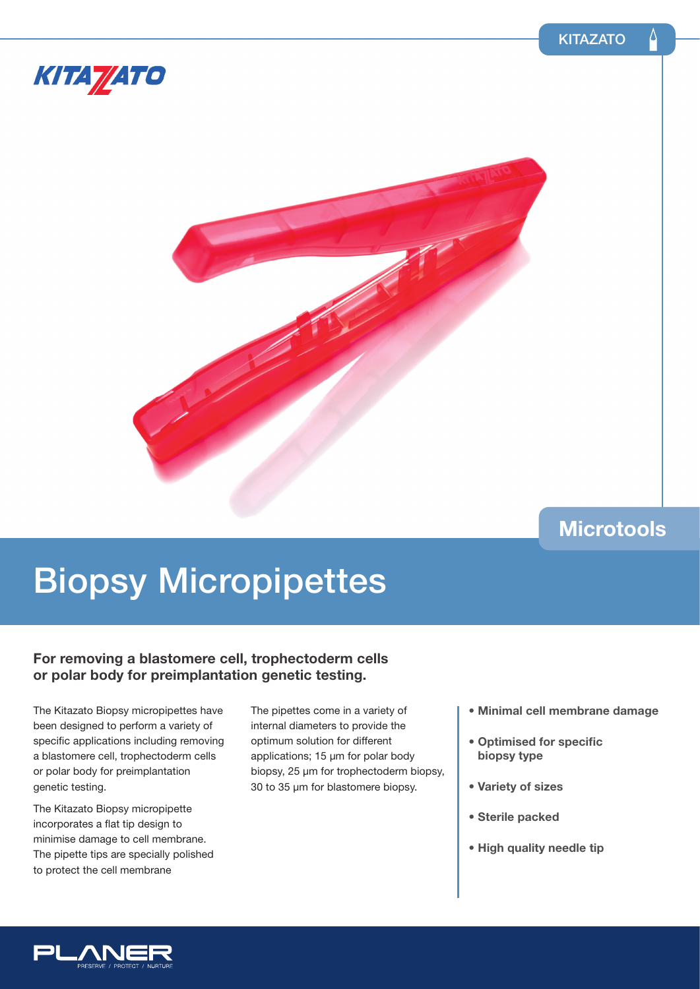



### **Microtools**

# Biopsy Micropipettes

#### **For removing a blastomere cell, trophectoderm cells or polar body for preimplantation genetic testing.**

The Kitazato Biopsy micropipettes have been designed to perform a variety of specific applications including removing a blastomere cell, trophectoderm cells or polar body for preimplantation genetic testing.

The Kitazato Biopsy micropipette incorporates a flat tip design to minimise damage to cell membrane. The pipette tips are specially polished to protect the cell membrane

The pipettes come in a variety of internal diameters to provide the optimum solution for different applications; 15 µm for polar body biopsy, 25 µm for trophectoderm biopsy, 30 to 35 µm for blastomere biopsy.

- **Minimal cell membrane damage**
- **Optimised for specific biopsy type**
- **Variety of sizes**
- **Sterile packed**
- **High quality needle tip**